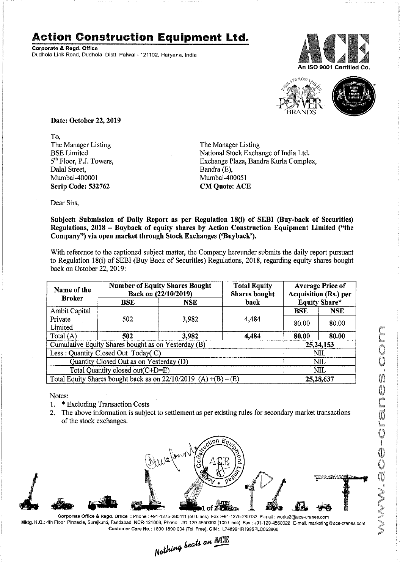## **Action Construction Equipment Ltd.**

Corporate & Regd. Office Dudhola Link Road, Dudhola, Distt. Palwal-121102, Haryana, India





Date: October 22,2019

To, The Manager Listing BSE Limited 5<sup>th</sup> Floor, P.J. Towers, Dalal Street, Mumbai-400001 Scrip Code: 532762

The Manager Listing National Stock Exchange of India Ltd. Exchange Plaza, Bandra Kurla Complex, Bandra (E), Mumbai~400051 CM Quote: ACE

Dear Sirs,

Subject: Submission of Daily Report as per Regulation 18(i) of SEBI (Buy-back of Securities) Regulations, 2018 - Buyback of equity shares by Action Construction Equipment Limited ("the Company") via open market through Stuck Exchanges ('Buyback').

With reference to the captioned subject matter, the Company hereunder submits the daily report pursuant to Regulation 18(i) of SEBI (Buy Back of Securities) Regulations, 2018, regarding equity shares bought back on October 22, 2019:

| Name of the                                                         | <b>Number of Equity Shares Bought</b><br>Back on (22/10/2019) |                    | <b>Total Equity</b><br><b>Shares bought</b> | <b>Average Price of</b><br><b>Acquisition (Rs.) per</b> |            |
|---------------------------------------------------------------------|---------------------------------------------------------------|--------------------|---------------------------------------------|---------------------------------------------------------|------------|
| <b>Broker</b>                                                       | $_{\rm BSE}$                                                  | back<br><b>NSE</b> |                                             | <b>Equity Share*</b>                                    |            |
| Ambit Capital                                                       |                                                               |                    |                                             | <b>BSE</b>                                              | <b>NSE</b> |
| Private                                                             | 502                                                           | 3,982              | 4,484                                       | 80.00                                                   | 80.00      |
| Limited                                                             |                                                               |                    |                                             |                                                         |            |
| Total (A)                                                           | 502                                                           | 3.982              | 4,484                                       | 80.00                                                   | 80.00      |
| Cumulative Equity Shares bought as on Yesterday (B)                 |                                                               |                    |                                             | 25, 24, 153                                             |            |
| Less: Quantity Closed Out Today(C)                                  |                                                               |                    |                                             | NIL                                                     |            |
| Quantity Closed Out as on Yesterday (D)                             |                                                               |                    |                                             | <b>NIL</b>                                              |            |
| Total Quantity closed out(C+D=E)                                    |                                                               |                    |                                             | NIL                                                     |            |
| Total Equity Shares bought back as on $22/10/2019$ (A) $+(B) - (E)$ |                                                               |                    |                                             | 25,28,637                                               |            |

Notes:

- 1. \* Excluding Transaction Costs
- 2. The above information is subject to settlement as per existing rules for secondary market transactions of the stock exchanges.



Corporate Office & Regd. Office : Phone: +91-12/5-280111 (50 Lines), Fax:+91-1275-280133, E-mail: works2@ace-cranes.com Mktg. H.Q.: 4th Floor, Pinnacle, Surajkund, Faridabad, NCR-121009, Phone: +91-129-4550000 (100 Lines), Fax: +91-129-4550022, E-mail: marketing@ace-cranes.com Customer Care No.: 1800 1800 004 (Toll Free), CIN: L74899HR (995PLC053860



 $_{L, c, t}$ *l* an  $\mathbb{AL}$ Nothing bears ----